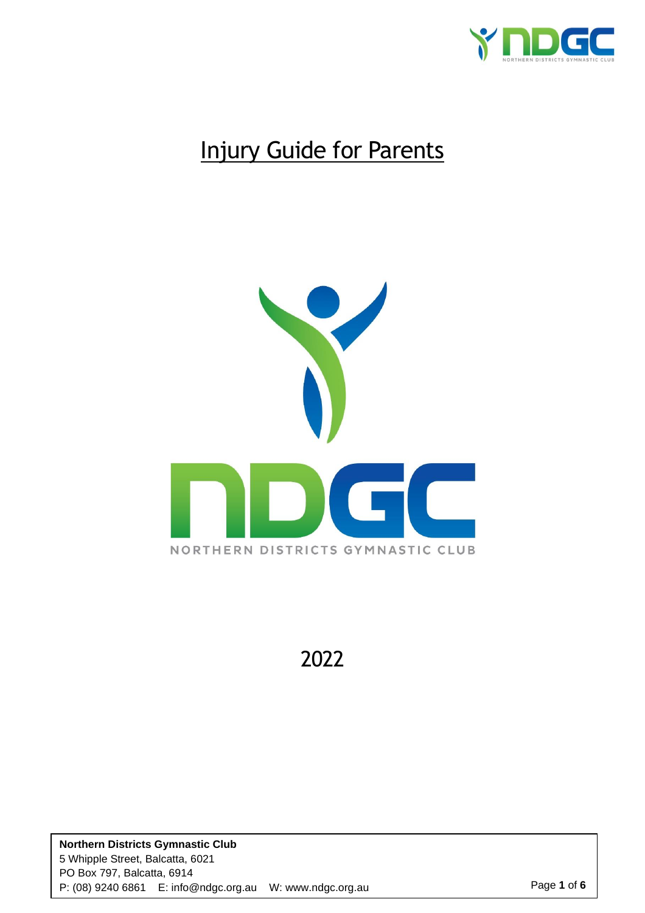

# Injury Guide for Parents



2022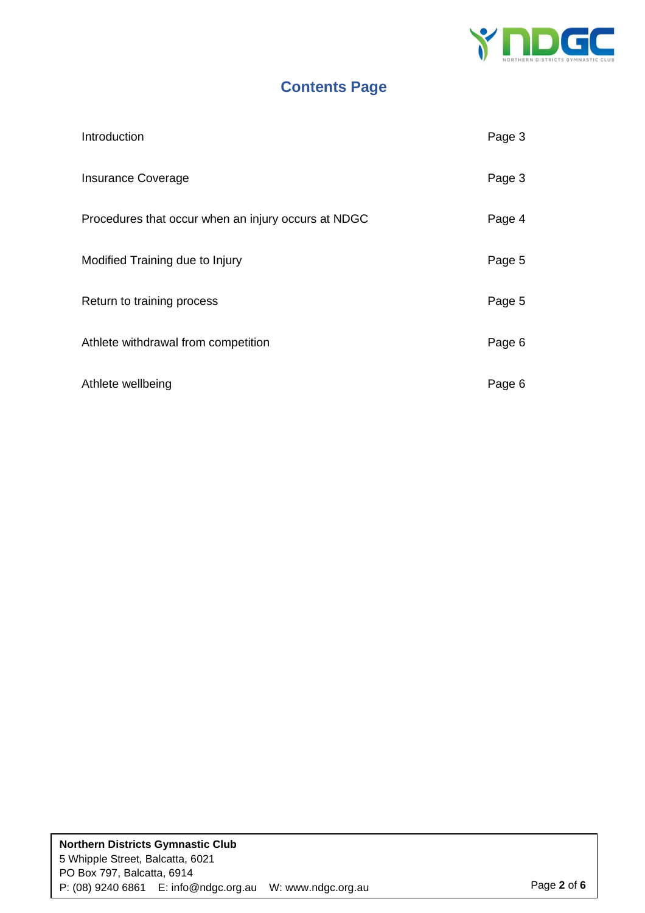

### **Contents Page**

| Introduction                                        | Page 3 |
|-----------------------------------------------------|--------|
| <b>Insurance Coverage</b>                           | Page 3 |
| Procedures that occur when an injury occurs at NDGC | Page 4 |
| Modified Training due to Injury                     | Page 5 |
| Return to training process                          | Page 5 |
| Athlete withdrawal from competition                 | Page 6 |
| Athlete wellbeing                                   | Page 6 |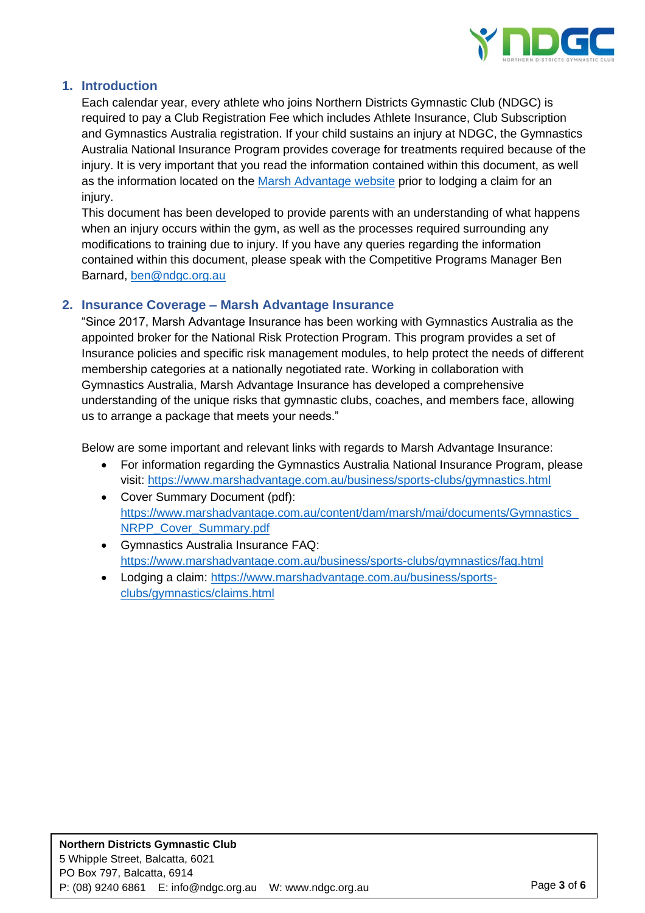

### **1. Introduction**

Each calendar year, every athlete who joins Northern Districts Gymnastic Club (NDGC) is required to pay a Club Registration Fee which includes Athlete Insurance, Club Subscription and Gymnastics Australia registration. If your child sustains an injury at NDGC, the Gymnastics Australia National Insurance Program provides coverage for treatments required because of the injury. It is very important that you read the information contained within this document, as well as the information located on the [Marsh Advantage website](https://www.marshadvantage.com.au/business/sports-clubs/gymnastics.html) prior to lodging a claim for an injury.

This document has been developed to provide parents with an understanding of what happens when an injury occurs within the gym, as well as the processes required surrounding any modifications to training due to injury. If you have any queries regarding the information contained within this document, please speak with the Competitive Programs Manager Ben Barnard, [ben@ndgc.org.au](mailto:ben@ndgc.org.au)

### **2. Insurance Coverage – Marsh Advantage Insurance**

"Since 2017, Marsh Advantage Insurance has been working with Gymnastics Australia as the appointed broker for the National Risk Protection Program. This program provides a set of Insurance policies and specific risk management modules, to help protect the needs of different membership categories at a nationally negotiated rate. Working in collaboration with Gymnastics Australia, Marsh Advantage Insurance has developed a comprehensive understanding of the unique risks that gymnastic clubs, coaches, and members face, allowing us to arrange a package that meets your needs."

Below are some important and relevant links with regards to Marsh Advantage Insurance:

- For information regarding the Gymnastics Australia National Insurance Program, please visit:<https://www.marshadvantage.com.au/business/sports-clubs/gymnastics.html>
- Cover Summary Document (pdf): [https://www.marshadvantage.com.au/content/dam/marsh/mai/documents/Gymnastics\\_](https://www.marshadvantage.com.au/content/dam/marsh/mai/documents/Gymnastics_NRPP_Cover_Summary.pdf) [NRPP\\_Cover\\_Summary.pdf](https://www.marshadvantage.com.au/content/dam/marsh/mai/documents/Gymnastics_NRPP_Cover_Summary.pdf)
- Gymnastics Australia Insurance FAQ: <https://www.marshadvantage.com.au/business/sports-clubs/gymnastics/faq.html>
- Lodging a claim: [https://www.marshadvantage.com.au/business/sports](https://www.marshadvantage.com.au/business/sports-clubs/gymnastics/claims.html)[clubs/gymnastics/claims.html](https://www.marshadvantage.com.au/business/sports-clubs/gymnastics/claims.html)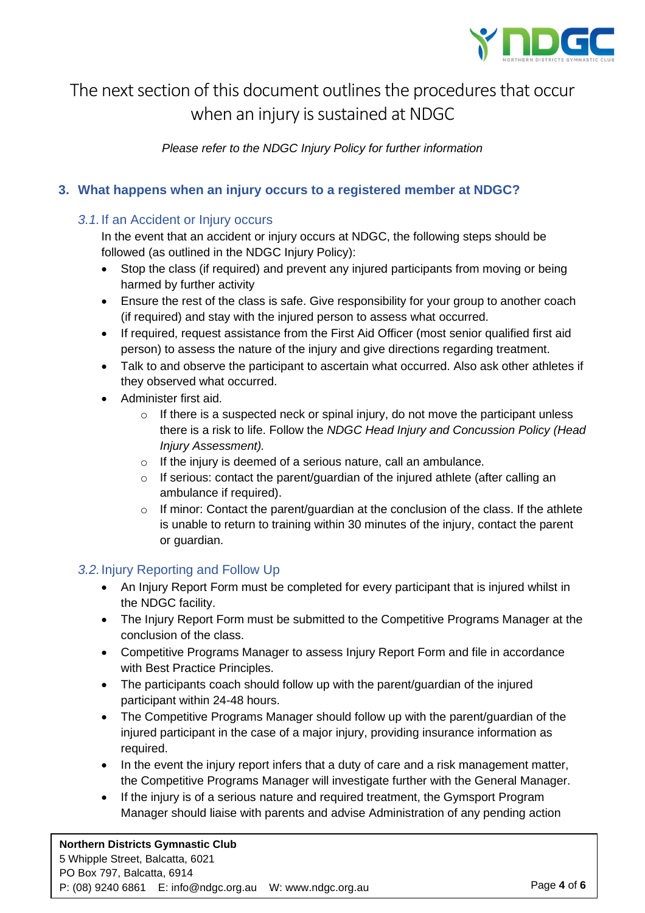

### The next section of this document outlines the procedures that occur when an injury is sustained at NDGC

*Please refer to the NDGC Injury Policy for further information*

### **3. What happens when an injury occurs to a registered member at NDGC?**

### *3.1.*If an Accident or Injury occurs

In the event that an accident or injury occurs at NDGC, the following steps should be followed (as outlined in the NDGC Injury Policy):

- Stop the class (if required) and prevent any injured participants from moving or being harmed by further activity
- Ensure the rest of the class is safe. Give responsibility for your group to another coach (if required) and stay with the injured person to assess what occurred.
- If required, request assistance from the First Aid Officer (most senior qualified first aid person) to assess the nature of the injury and give directions regarding treatment.
- Talk to and observe the participant to ascertain what occurred. Also ask other athletes if they observed what occurred.
- Administer first aid.
	- o If there is a suspected neck or spinal injury, do not move the participant unless there is a risk to life. Follow the *NDGC Head Injury and Concussion Policy (Head Injury Assessment).*
	- o If the injury is deemed of a serious nature, call an ambulance.
	- $\circ$  If serious: contact the parent/guardian of the injured athlete (after calling an ambulance if required).
	- o If minor: Contact the parent/guardian at the conclusion of the class. If the athlete is unable to return to training within 30 minutes of the injury, contact the parent or guardian.

### *3.2.*Injury Reporting and Follow Up

- An Injury Report Form must be completed for every participant that is injured whilst in the NDGC facility.
- The Injury Report Form must be submitted to the Competitive Programs Manager at the conclusion of the class.
- Competitive Programs Manager to assess Injury Report Form and file in accordance with Best Practice Principles.
- The participants coach should follow up with the parent/quardian of the injured participant within 24-48 hours.
- The Competitive Programs Manager should follow up with the parent/guardian of the injured participant in the case of a major injury, providing insurance information as required.
- In the event the injury report infers that a duty of care and a risk management matter, the Competitive Programs Manager will investigate further with the General Manager.
- If the injury is of a serious nature and required treatment, the Gymsport Program Manager should liaise with parents and advise Administration of any pending action

### **Northern Districts Gymnastic Club** 5 Whipple Street, Balcatta, 6021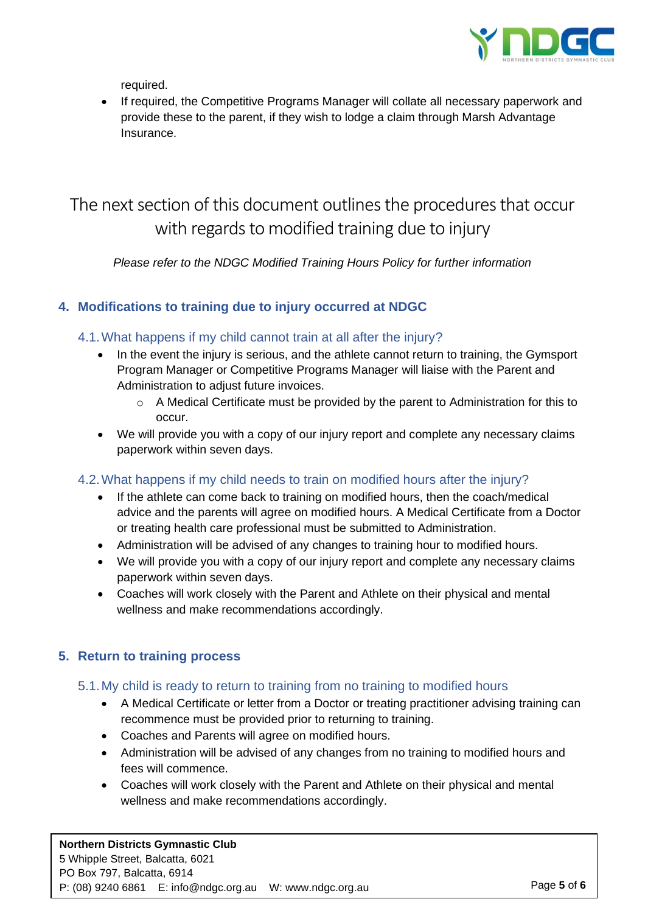

required.

• If required, the Competitive Programs Manager will collate all necessary paperwork and provide these to the parent, if they wish to lodge a claim through Marsh Advantage Insurance.

## The next section of this document outlines the procedures that occur with regards to modified training due to injury

*Please refer to the NDGC Modified Training Hours Policy for further information*

### **4. Modifications to training due to injury occurred at NDGC**

### 4.1.What happens if my child cannot train at all after the injury?

- In the event the injury is serious, and the athlete cannot return to training, the Gymsport Program Manager or Competitive Programs Manager will liaise with the Parent and Administration to adjust future invoices.
	- o A Medical Certificate must be provided by the parent to Administration for this to occur.
- We will provide you with a copy of our injury report and complete any necessary claims paperwork within seven days.

### 4.2.What happens if my child needs to train on modified hours after the injury?

- If the athlete can come back to training on modified hours, then the coach/medical advice and the parents will agree on modified hours. A Medical Certificate from a Doctor or treating health care professional must be submitted to Administration.
- Administration will be advised of any changes to training hour to modified hours.
- We will provide you with a copy of our injury report and complete any necessary claims paperwork within seven days.
- Coaches will work closely with the Parent and Athlete on their physical and mental wellness and make recommendations accordingly.

### **5. Return to training process**

### 5.1.My child is ready to return to training from no training to modified hours

- A Medical Certificate or letter from a Doctor or treating practitioner advising training can recommence must be provided prior to returning to training.
- Coaches and Parents will agree on modified hours.
- Administration will be advised of any changes from no training to modified hours and fees will commence.
- Coaches will work closely with the Parent and Athlete on their physical and mental wellness and make recommendations accordingly.